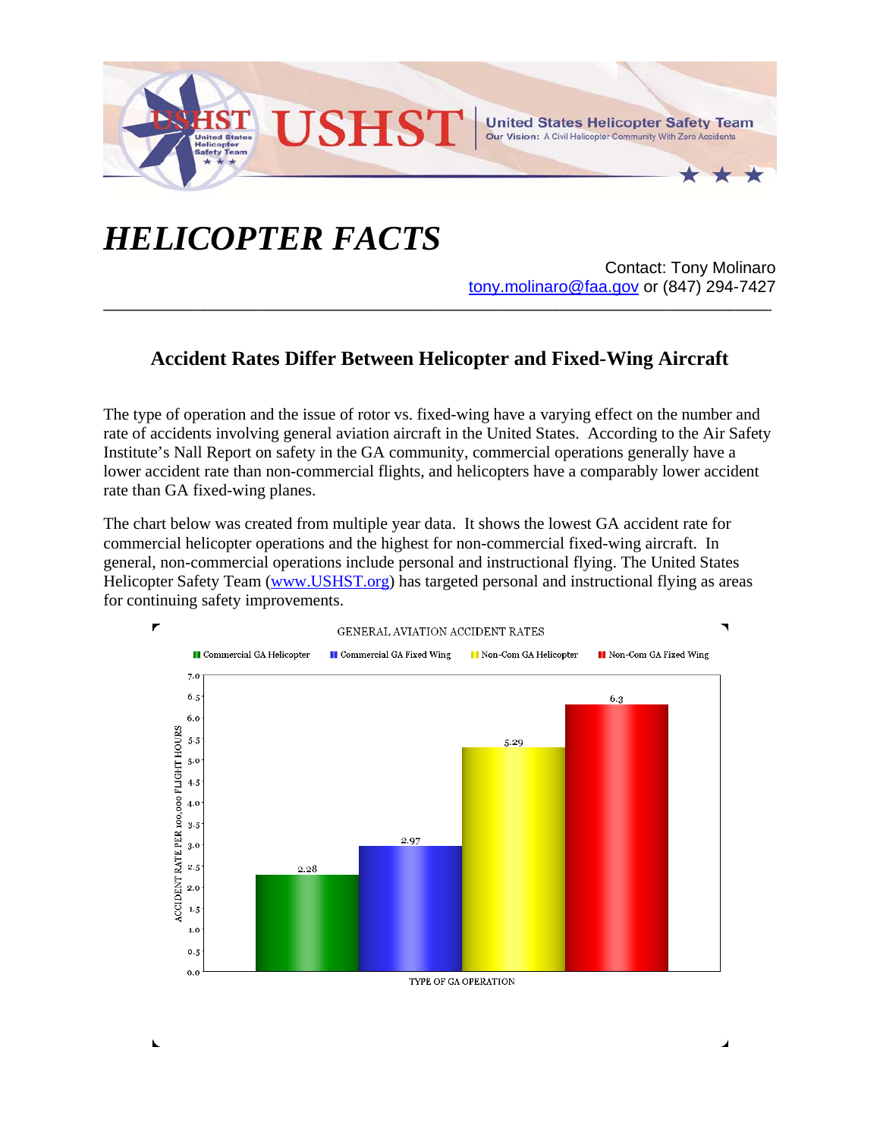

## *HELICOPTER FACTS*

N

Contact: Tony Molinaro tony.molinaro@faa.gov or (847) 294-7427

## **Accident Rates Differ Between Helicopter and Fixed-Wing Aircraft**

**\_\_\_\_\_\_\_\_\_\_\_\_\_\_\_\_\_\_\_\_\_\_\_\_\_\_\_\_\_\_\_\_\_\_\_\_\_\_\_\_\_\_\_\_\_\_\_\_\_\_\_\_\_\_\_\_\_\_\_\_\_\_\_\_\_\_\_\_\_\_\_\_\_\_\_\_\_\_\_\_\_\_\_\_\_\_\_\_\_\_\_\_\_**

The type of operation and the issue of rotor vs. fixed-wing have a varying effect on the number and rate of accidents involving general aviation aircraft in the United States. According to the Air Safety Institute's Nall Report on safety in the GA community, commercial operations generally have a lower accident rate than non-commercial flights, and helicopters have a comparably lower accident rate than GA fixed-wing planes.

The chart below was created from multiple year data. It shows the lowest GA accident rate for commercial helicopter operations and the highest for non-commercial fixed-wing aircraft. In general, non-commercial operations include personal and instructional flying. The United States Helicopter Safety Team (www.USHST.org) has targeted personal and instructional flying as areas for continuing safety improvements.